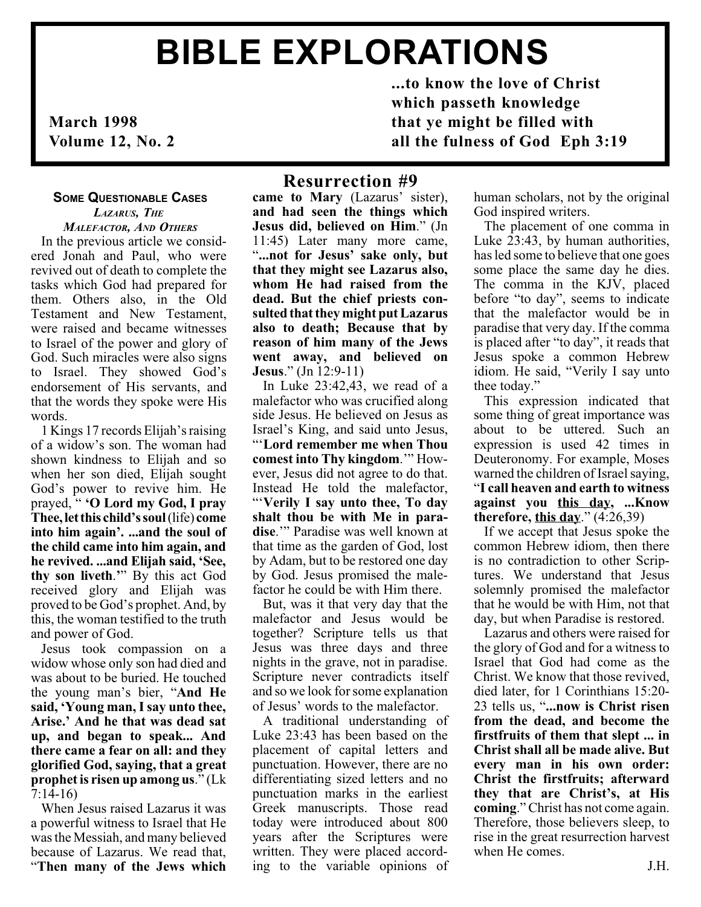# BIBLE EXPLORATIONS

March 1998 Volume 12, No. 2

**SOME QUESTIONABLE CASES** LAZARUS, THE

MALEFACTOR, AND OTHERS In the previous article we considered Jonah and Paul, who were revived out of death to complete the tasks which God had prepared for them. Others also, in the Old Testament and New Testament, were raised and became witnesses to Israel of the power and glory of God. Such miracles were also signs to Israel. They showed God's endorsement of His servants, and that the words they spoke were His words.

1 Kings 17 records Elijah's raising of a widow's son. The woman had shown kindness to Elijah and so when her son died, Elijah sought God's power to revive him. He prayed, " 'O Lord my God, I pray Thee, let this child's soul (life) come into him again'. ...and the soul of the child came into him again, and he revived. ...and Elijah said, 'See, thy son liveth." By this act God received glory and Elijah was proved to be God's prophet. And, by this, the woman testified to the truth and power of God.

Jesus took compassion on a widow whose only son had died and was about to be buried. He touched the young man's bier, "And He said, Young man, I say unto thee, Arise.' And he that was dead sat up, and began to speak... And there came a fear on all: and they glorified God, saying, that a great prophet is risen up among us."  $(Lk)$ 7:14-16)

When Jesus raised Lazarus it was a powerful witness to Israel that He was the Messiah, and many believed because of Lazarus. We read that, Then many of the Jews which

# Resurrection #9

came to Mary (Lazarus' sister), and had seen the things which Jesus did, believed on Him." (Jn 11:45) Later many more came, "...not for Jesus' sake only, but that they might see Lazarus also, whom He had raised from the dead. But the chief priests consulted that they might put Lazarus also to death; Because that by reason of him many of the Jews went away, and believed on **Jesus.**" (Jn  $12:9-11$ )

In Luke 23:42,43, we read of a malefactor who was crucified along side Jesus. He believed on Jesus as Israel's King, and said unto Jesus, Lord remember me when Thou comest into Thy kingdom." However, Jesus did not agree to do that. Instead He told the malefactor, Verily I say unto thee, To day shalt thou be with Me in paradise." Paradise was well known at that time as the garden of God, lost by Adam, but to be restored one day by God. Jesus promised the malefactor he could be with Him there.

But, was it that very day that the malefactor and Jesus would be together? Scripture tells us that Jesus was three days and three nights in the grave, not in paradise. Scripture never contradicts itself and so we look for some explanation of Jesus' words to the malefactor.

A traditional understanding of Luke 23:43 has been based on the placement of capital letters and punctuation. However, there are no differentiating sized letters and no punctuation marks in the earliest Greek manuscripts. Those read today were introduced about 800 years after the Scriptures were written. They were placed according to the variable opinions of human scholars, not by the original God inspired writers.

...to know the love of Christ

all the fulness of God Eph 3:19

which passeth knowledge that ye might be filled with

> The placement of one comma in Luke 23:43, by human authorities, has led some to believe that one goes some place the same day he dies. The comma in the KJV, placed before "to day", seems to indicate that the malefactor would be in paradise that very day. If the comma is placed after "to day", it reads that Jesus spoke a common Hebrew idiom. He said, "Verily I say unto thee today.

> This expression indicated that some thing of great importance was about to be uttered. Such an expression is used 42 times in Deuteronomy. For example, Moses warned the children of Israel saying, I call heaven and earth to witness against you this day, ...Know therefore, this day."  $(4:26,39)$

> If we accept that Jesus spoke the common Hebrew idiom, then there is no contradiction to other Scriptures. We understand that Jesus solemnly promised the malefactor that he would be with Him, not that day, but when Paradise is restored.

> Lazarus and others were raised for the glory of God and for a witness to Israel that God had come as the Christ. We know that those revived, died later, for 1 Corinthians 15:20- 23 tells us, "...now is Christ risen from the dead, and become the firstfruits of them that slept ... in Christ shall all be made alive. But every man in his own order: Christ the firstfruits; afterward they that are Christ's, at His coming." Christ has not come again. Therefore, those believers sleep, to rise in the great resurrection harvest when He comes.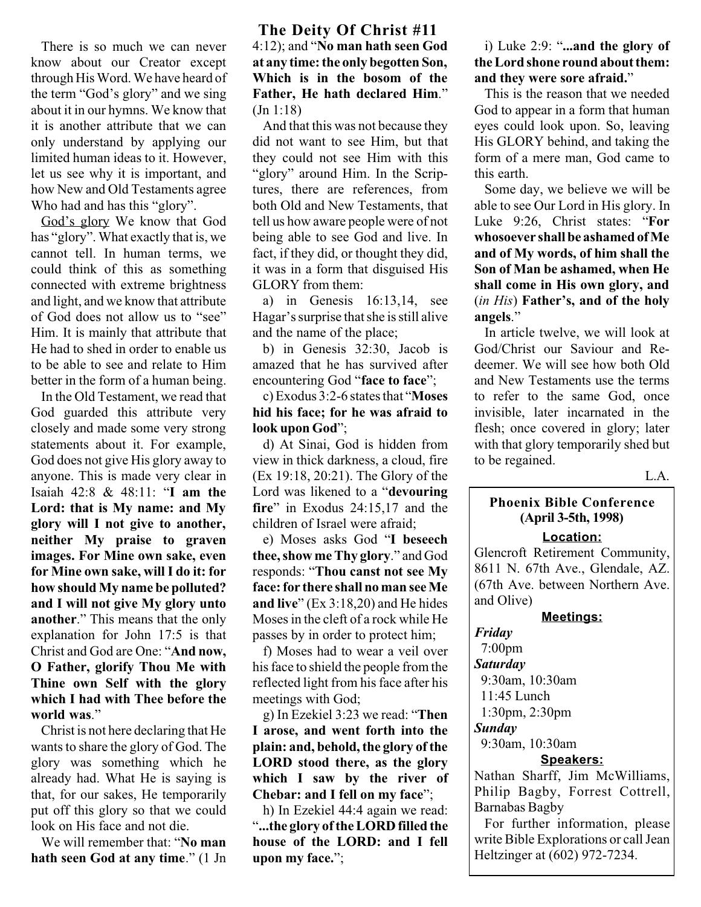There is so much we can never know about our Creator except through His Word. We have heard of the term "God's glory" and we sing about it in our hymns. We know that it is another attribute that we can only understand by applying our limited human ideas to it. However, let us see why it is important, and how New and Old Testaments agree Who had and has this "glory".

God's glory We know that God has "glory". What exactly that is, we cannot tell. In human terms, we could think of this as something connected with extreme brightness and light, and we know that attribute of God does not allow us to "see" Him. It is mainly that attribute that He had to shed in order to enable us to be able to see and relate to Him better in the form of a human being.

In the Old Testament, we read that God guarded this attribute very closely and made some very strong statements about it. For example, God does not give His glory away to anyone. This is made very clear in Isaiah 42:8 & 48:11: "I am the Lord: that is My name: and My glory will I not give to another, neither My praise to graven images. For Mine own sake, even for Mine own sake, will I do it: for how should My name be polluted? and I will not give My glory unto another." This means that the only explanation for John 17:5 is that Christ and God are One: "And now, O Father, glorify Thou Me with Thine own Self with the glory which I had with Thee before the world was."

Christ is not here declaring that He wants to share the glory of God. The glory was something which he already had. What He is saying is that, for our sakes, He temporarily put off this glory so that we could look on His face and not die.

We will remember that: "No man hath seen God at any time." (1 Jn

## The Deity Of Christ #11  $4:12$ ); and "No man hath seen God at any time: the only begotten Son, Which is in the bosom of the Father, He hath declared Him. (Jn 1:18)

And that this was not because they did not want to see Him, but that they could not see Him with this "glory" around Him. In the Scriptures, there are references, from both Old and New Testaments, that tell us how aware people were of not being able to see God and live. In fact, if they did, or thought they did, it was in a form that disguised His GLORY from them:

a) in Genesis 16:13,14, see Hagar's surprise that she is still alive and the name of the place;

b) in Genesis 32:30, Jacob is amazed that he has survived after encountering God "face to face";

c) Exodus  $3:2-6$  states that "Moses" hid his face; for he was afraid to look upon God";

d) At Sinai, God is hidden from view in thick darkness, a cloud, fire (Ex 19:18, 20:21). The Glory of the Lord was likened to a "devouring fire" in Exodus  $24:15.17$  and the children of Israel were afraid;

e) Moses asks God "I beseech thee, show me Thy glory." and God responds: "Thou canst not see My face: for there shall no man see Me and live"  $(Ex\ 3:18,20)$  and He hides Moses in the cleft of a rock while He passes by in order to protect him;

f) Moses had to wear a veil over his face to shield the people from the reflected light from his face after his meetings with God;

 $g$ ) In Ezekiel 3:23 we read: "Then I arose, and went forth into the plain: and, behold, the glory of the LORD stood there, as the glory which I saw by the river of Chebar: and I fell on my face";

h) In Ezekiel 44:4 again we read: ...the glory of the LORD filled the house of the LORD: and I fell upon my face.";

## i) Luke  $2:9:$  "...and the glory of the Lord shone round about them: and they were sore afraid.

This is the reason that we needed God to appear in a form that human eyes could look upon. So, leaving His GLORY behind, and taking the form of a mere man, God came to this earth.

Some day, we believe we will be able to see Our Lord in His glory. In Luke 9:26, Christ states: "For whosoever shall be ashamed of Me and of My words, of him shall the Son of Man be ashamed, when He shall come in His own glory, and  $(in His)$  Father's, and of the holy angels.

In article twelve, we will look at God/Christ our Saviour and Redeemer. We will see how both Old and New Testaments use the terms to refer to the same God, once invisible, later incarnated in the flesh; once covered in glory; later with that glory temporarily shed but to be regained.

 $L.A$ 

## Phoenix Bible Conference (April 3-5th, 1998)

#### Location:

Glencroft Retirement Community, 8611 N. 67th Ave., Glendale, AZ. (67th Ave. between Northern Ave. and Olive)

## Meetings:

Friday 7:00pm **Saturday**  9:30am, 10:30am 11:45 Lunch 1:30pm, 2:30pm

## Sunday

9:30am, 10:30am

## Speakers:

Nathan Sharff, Jim McWilliams, Philip Bagby, Forrest Cottrell, Barnabas Bagby

For further information, please write Bible Explorations or call Jean Heltzinger at (602) 972-7234.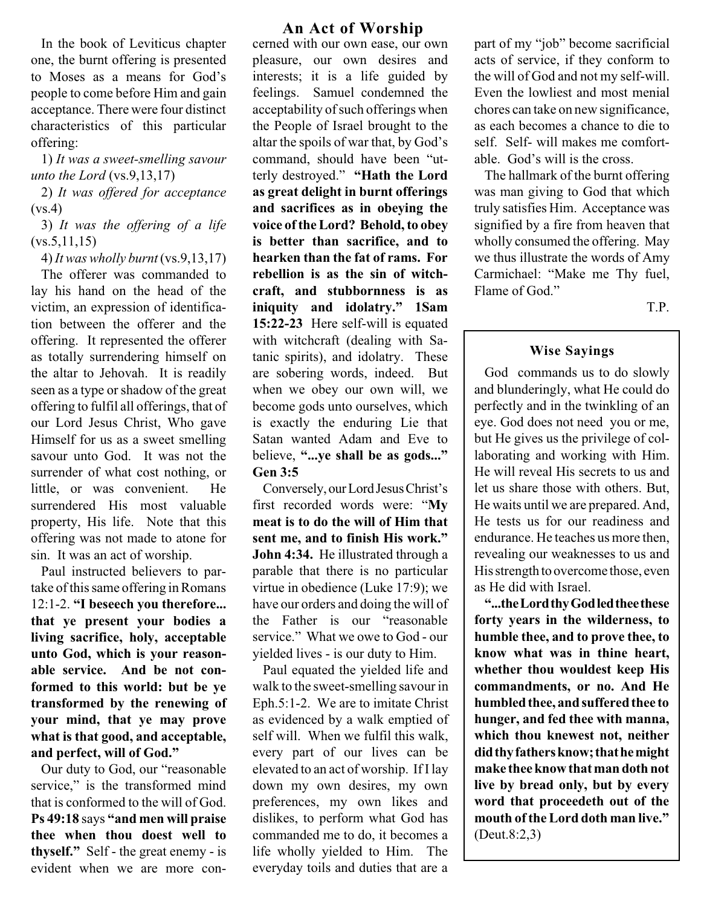In the book of Leviticus chapter one, the burnt offering is presented to Moses as a means for God's people to come before Him and gain acceptance. There were four distinct characteristics of this particular offering:

1) It was a sweet-smelling savour unto the Lord (vs.9,13,17)

2) It was offered for acceptance  $(vs.4)$ 

3) It was the offering of a life  $(vs.5,11,15)$ 

 $4)$  It was wholly burnt (vs.9,13,17)

The offerer was commanded to lay his hand on the head of the victim, an expression of identification between the offerer and the offering. It represented the offerer as totally surrendering himself on the altar to Jehovah. It is readily seen as a type or shadow of the great offering to fulfil all offerings, that of our Lord Jesus Christ, Who gave Himself for us as a sweet smelling savour unto God. It was not the surrender of what cost nothing, or little, or was convenient. He surrendered His most valuable property, His life. Note that this offering was not made to atone for sin. It was an act of worship.

Paul instructed believers to partake of this same offering in Romans 12:1-2. "I beseech you therefore... that ye present your bodies a living sacrifice, holy, acceptable unto God, which is your reasonable service. And be not conformed to this world: but be ye transformed by the renewing of your mind, that ye may prove what is that good, and acceptable, and perfect, will of God.

Our duty to God, our "reasonable service," is the transformed mind that is conformed to the will of God. Ps 49:18 says "and men will praise thee when thou doest well to thyself." Self - the great enemy - is evident when we are more con-

#### An Act of Worship

cerned with our own ease, our own pleasure, our own desires and interests; it is a life guided by feelings. Samuel condemned the acceptability of such offerings when the People of Israel brought to the altar the spoils of war that, by God's command, should have been "utterly destroyed." "Hath the Lord as great delight in burnt offerings and sacrifices as in obeying the voice of the Lord? Behold, to obey is better than sacrifice, and to hearken than the fat of rams. For rebellion is as the sin of witchcraft, and stubbornness is as iniquity and idolatry." 1Sam 15:22-23 Here self-will is equated with witchcraft (dealing with Satanic spirits), and idolatry. These are sobering words, indeed. But when we obey our own will, we become gods unto ourselves, which is exactly the enduring Lie that Satan wanted Adam and Eve to believe, "...ye shall be as gods..." Gen 3:5

Conversely, our Lord Jesus Christ's first recorded words were: "My meat is to do the will of Him that sent me, and to finish His work. John 4:34. He illustrated through a parable that there is no particular virtue in obedience (Luke 17:9); we have our orders and doing the will of the Father is our "reasonable service." What we owe to God - our yielded lives - is our duty to Him.

Paul equated the yielded life and walk to the sweet-smelling savour in Eph.5:1-2. We are to imitate Christ as evidenced by a walk emptied of self will. When we fulfil this walk, every part of our lives can be elevated to an act of worship. If I lay down my own desires, my own preferences, my own likes and dislikes, to perform what God has commanded me to do, it becomes a life wholly yielded to Him. The everyday toils and duties that are a part of my "job" become sacrificial acts of service, if they conform to the will of God and not my self-will. Even the lowliest and most menial chores can take on new significance, as each becomes a chance to die to self. Self- will makes me comfortable. God's will is the cross.

The hallmark of the burnt offering was man giving to God that which truly satisfies Him. Acceptance was signified by a fire from heaven that wholly consumed the offering. May we thus illustrate the words of Amy Carmichael: "Make me Thy fuel, Flame of God.

T.P.

#### Wise Sayings

God commands us to do slowly and blunderingly, what He could do perfectly and in the twinkling of an eye. God does not need you or me, but He gives us the privilege of collaborating and working with Him. He will reveal His secrets to us and let us share those with others. But, He waits until we are prepared. And, He tests us for our readiness and endurance. He teaches us more then, revealing our weaknesses to us and His strength to overcome those, even as He did with Israel.

...the Lord thy God led thee these forty years in the wilderness, to humble thee, and to prove thee, to know what was in thine heart, whether thou wouldest keep His commandments, or no. And He humbled thee, and suffered thee to hunger, and fed thee with manna, which thou knewest not, neither did thy fathers know; that he might make thee know that man doth not live by bread only, but by every word that proceedeth out of the mouth of the Lord doth man live. (Deut.8:2,3)